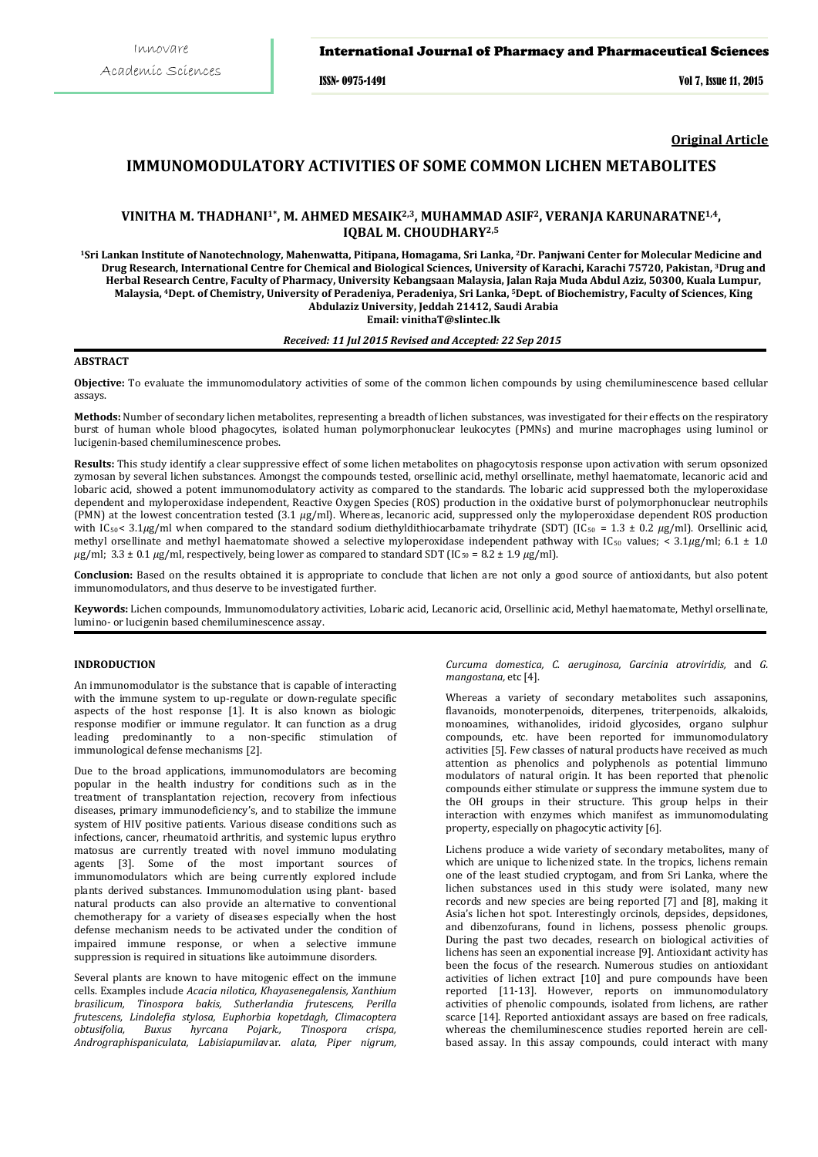#### International Journal of Pharmacy and Pharmaceutical Sciences

ISSN- 0975-1491 Vol 7, Issue 11, 2015

**Original Article**

# **IMMUNOMODULATORY ACTIVITIES OF SOME COMMON LICHEN METABOLITES**

## **VINITHA M. THADHANI1\*, M. AHMED MESAIK2,3, MUHAMMAD ASIF2, VERANJA KARUNARATNE1,4, IQBAL M. CHOUDHARY2,5**

**1Sri Lankan Institute of Nanotechnology, Mahenwatta, Pitipana, Homagama, Sri Lanka, 2Dr. Panjwani Center for Molecular Medicine and Drug Research, International Centre for Chemical and Biological Sciences, University of Karachi, Karachi 75720, Pakistan, 3Drug and Herbal Research Centre, Faculty of Pharmacy, University Kebangsaan Malaysia, Jalan Raja Muda Abdul Aziz, 50300, Kuala Lumpur, Malaysia, 4Dept. of Chemistry, University of Peradeniya, Peradeniya, Sri Lanka, 5 Dept. of Biochemistry, Faculty of Sciences, King Abdulaziz University, Jeddah 21412, Saudi Arabia Email: vinithaT@slintec.lk** 

## *Received: 11 Jul 2015 Revised and Accepted: 22 Sep 2015*

## **ABSTRACT**

**Objective:** To evaluate the immunomodulatory activities of some of the common lichen compounds by using chemiluminescence based cellular assays.

**Methods:** Number of secondary lichen metabolites, representing a breadth of lichen substances, was investigated for their effects on the respiratory burst of human whole blood phagocytes, isolated human polymorphonuclear leukocytes (PMNs) and murine macrophages using luminol or lucigenin-based chemiluminescence probes.

**Results:** This study identify a clear suppressive effect of some lichen metabolites on phagocytosis response upon activation with serum opsonized zymosan by several lichen substances. Amongst the compounds tested, orsellinic acid, methyl orsellinate, methyl haematomate, lecanoric acid and lobaric acid, showed a potent immunomodulatory activity as compared to the standards. The lobaric acid suppressed both the myloperoxidase dependent and myloperoxidase independent, Reactive Oxygen Species (ROS) production in the oxidative burst of polymorphonuclear neutrophils (PMN) at the lowest concentration tested (3.1 *µ*g/ml). Whereas, lecanoric acid, suppressed only the myloperoxidase dependent ROS production with IC<sub>50</sub> < 3.1*µg*/ml when compared to the standard sodium diethyldithiocarbamate trihydrate (SDT) (IC<sub>50</sub> = 1.3 ± 0.2 *µg*/ml). Orsellinic acid, methyl orsellinate and methyl haematomate showed a selective myloperoxidase independent pathway with IC<sub>50</sub> values; < 3.1µg/ml; 6.1 ± 1.0 *µ*g/ml; 3.3 ± 0.1 *µ*g/ml, respectively, being lower as compared to standard SDT (IC50 = 8.2 ± 1.9 *µ*g/ml).

**Conclusion:** Based on the results obtained it is appropriate to conclude that lichen are not only a good source of antioxidants, but also potent immunomodulators, and thus deserve to be investigated further.

**Keywords:** Lichen compounds, Immunomodulatory activities, Lobaric acid, Lecanoric acid, Orsellinic acid, Methyl haematomate, Methyl orsellinate, lumino- or lucigenin based chemiluminescence assay.

#### **INDRODUCTION**

An immunomodulator is the substance that is capable of interacting with the immune system to up-regulate or down-regulate specific aspects of the host response [1]. It is also known as biologic response modifier or immune regulator. It can function as a drug leading predominantly to a non-specific stimulation of immunological defense mechanisms [2].

Due to the broad applications, immunomodulators are becoming popular in the health industry for conditions such as in the treatment of transplantation rejection, recovery from infectious diseases, primary immunodeficiency's, and to stabilize the immune system of HIV positive patients. Various disease conditions such as infections, cancer, rheumatoid arthritis, and systemic lupus erythro matosus are currently treated with novel immuno modulating agents [3]. Some of the most important sources of immunomodulators which are being currently explored include plants derived substances. Immunomodulation using plant- based natural products can also provide an alternative to conventional chemotherapy for a variety of diseases especially when the host defense mechanism needs to be activated under the condition of impaired immune response, or when a selective immune suppression is required in situations like autoimmune disorders.

Several plants are known to have mitogenic effect on the immune cells. Examples include *Acacia nilotica, Khayasenegalensis, Xanthium brasilicum, Tinospora bakis, Sutherlandia frutescens, Perilla frutescens, Lindolefia stylosa, Euphorbia kopetdagh, Climacoptera obtusifolia, Buxus hyrcana Pojark., Tinospora crispa, Andrographispaniculata, Labisiapumila*var. *alata, Piper nigrum,*  *Curcuma domestica, C. aeruginosa, Garcinia atroviridis,* and *G. mangostana,* etc [4].

Whereas a variety of secondary metabolites such assaponins, flavanoids, monoterpenoids, diterpenes, triterpenoids, alkaloids, monoamines, withanolides, iridoid glycosides, organo sulphur compounds, etc*.* have been reported for immunomodulatory activities [5]. Few classes of natural products have received as much attention as phenolics and polyphenols as potential limmuno modulators of natural origin. It has been reported that phenolic compounds either stimulate or suppress the immune system due to the OH groups in their structure. This group helps in their interaction with enzymes which manifest as immunomodulating property, especially on phagocytic activity [6].

Lichens produce a wide variety of secondary metabolites, many of which are unique to lichenized state. In the tropics, lichens remain one of the least studied cryptogam, and from Sri Lanka, where the lichen substances used in this study were isolated, many new records and new species are being reported [7] and [8], making it Asia's lichen hot spot. Interestingly orcinols, depsides, depsidones, and dibenzofurans, found in lichens, possess phenolic groups. During the past two decades, research on biological activities of lichens has seen an exponential increase [9]. Antioxidant activity has been the focus of the research. Numerous studies on antioxidant activities of lichen extract [10] and pure compounds have been reported [11-13]. However, reports on immunomodulatory activities of phenolic compounds, isolated from lichens, are rather scarce [14]. Reported antioxidant assays are based on free radicals, whereas the chemiluminescence studies reported herein are cellbased assay. In this assay compounds, could interact with many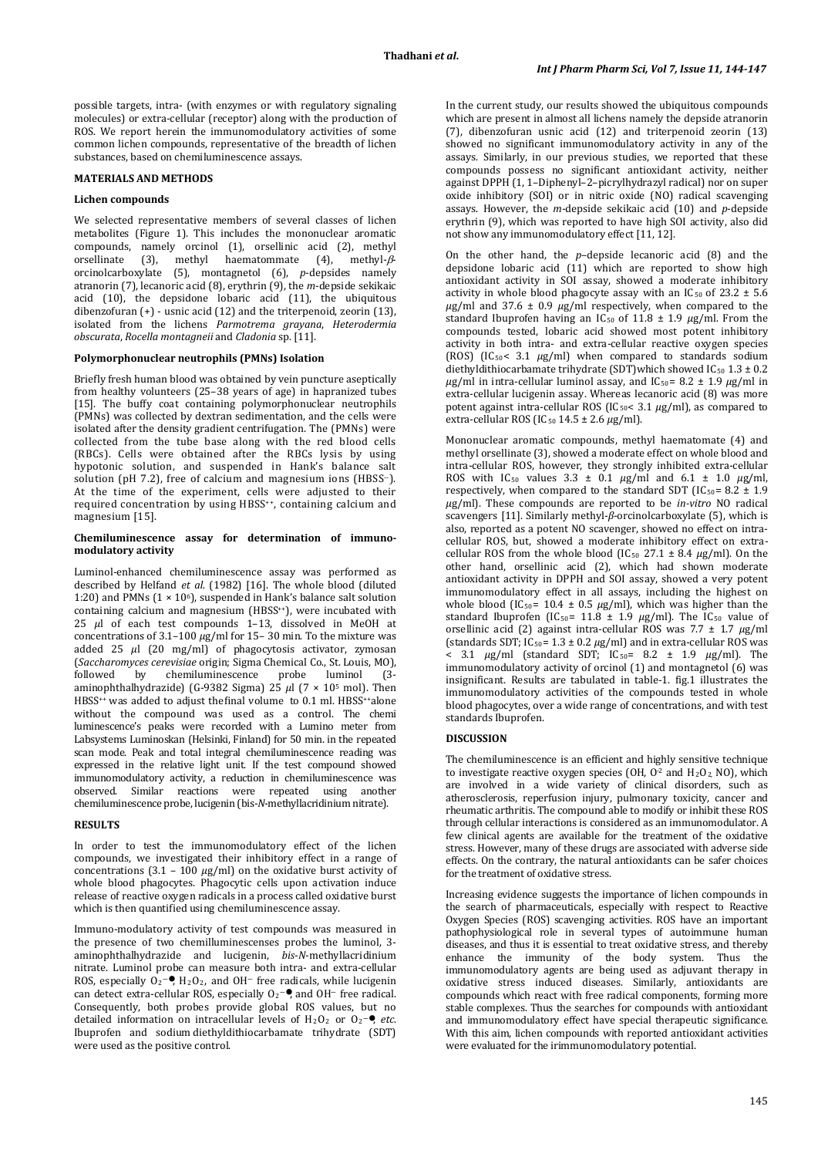possible targets, intra- (with enzymes or with regulatory signaling molecules) or extra-cellular (receptor) along with the production of ROS. We report herein the immunomodulatory activities of some common lichen compounds, representative of the breadth of lichen substances, based on chemiluminescence assays.

## **MATERIALS AND METHODS**

#### **Lichen compounds**

We selected representative members of several classes of lichen metabolites (Figure 1). This includes the mononuclear aromatic compounds, namely orcinol (1), orsellinic acid (2), methyl orsellinate (3), methyl haematommate (4), methyl-βorcinolcarboxylate (5), montagnetol (6), *p*-depsides namely atranorin (7), lecanoric acid (8), erythrin (9), the *m*-depside sekikaic acid  $(10)$ , the depsidone lobaric acid  $(11)$ , the ubiquitous dibenzofuran (+) - usnic acid (12) and the triterpenoid, zeorin (13), isolated from the lichens *Parmotrema grayana*, *Heterodermia obscurata*, *Rocella montagneii* and *Cladonia* sp. [11].

#### **Polymorphonuclear neutrophils (PMNs) Isolation**

Briefly fresh human blood was obtained by vein puncture aseptically from healthy volunteers (25–38 years of age) in hapranized tubes [15]. The buffy coat containing polymorphonuclear neutrophils (PMNs) was collected by dextran sedimentation, and the cells were isolated after the density gradient centrifugation. The (PMNs) were collected from the tube base along with the red blood cells (RBCs). Cells were obtained after the RBCs lysis by using hypotonic solution, and suspended in Hank's balance salt solution (pH 7.2), free of calcium and magnesium ions (HBSS-). At the time of the experiment, cells were adjusted to their required concentration by using HBSS<sup>++</sup>, containing calcium and magnesium [15].

#### **Chemiluminescence assay for determination of immunomodulatory activity**

Luminol-enhanced chemiluminescence assay was performed as described by Helfand *et al.* (1982) [16]. The whole blood (diluted 1:20) and PMNs  $(1 \times 10^6)$ , suspended in Hank's balance salt solution containing calcium and magnesium (HBSS<sup>++</sup>), were incubated with 25 *µ*l of each test compounds 1–13, dissolved in MeOH at concentrations of 3.1–100 *µ*g/ml for 15– 30 min. To the mixture was added 25  $\mu$ l (20 mg/ml) of phagocytosis activator, zymosan (*Saccharomyces cerevisiae* origin; Sigma Chemical Co., St. Louis, MO), followed by chemiluminescence probe luminol (3- aminophthalhydrazide) (G-9382 Sigma) 25 *µ*l (7 × 105 mol). Then HBSS<sup>++</sup> was added to adjust thefinal volume to 0.1 ml. HBSS<sup>++</sup>alone without the compound was used as a control. The chemi luminescence's peaks were recorded with a Lumino meter from Labsystems Luminoskan (Helsinki, Finland) for 50 min. in the repeated scan mode. Peak and total integral chemiluminescence reading was expressed in the relative light unit. If the test compound showed immunomodulatory activity, a reduction in chemiluminescence was observed. Similar reactions were repeated using another chemiluminescence probe, lucigenin (bis-*N*-methyllacridinium nitrate).

### **RESULTS**

In order to test the immunomodulatory effect of the lichen compounds, we investigated their inhibitory effect in a range of concentrations  $(3.1 - 100 \mu g/ml)$  on the oxidative burst activity of whole blood phagocytes. Phagocytic cells upon activation induce release of reactive oxygen radicals in a process called oxidative burst which is then quantified using chemiluminescence assay.

Immuno-modulatory activity of test compounds was measured in the presence of two chemilluminescenses probes the luminol, 3 aminophthalhydrazide and lucigenin, *bis*-*N*-methyllacridinium nitrate. Luminol probe can measure both intra- and extra-cellular ROS, especially  $O_2$ <sup>- $\bullet$ </sup>,  $H_2O_2$ , and OH<sup>-</sup> free radicals, while lucigenin can detect extra-cellular ROS, especially  $O_2$ <sup>- $\bullet$ </sup>, and OH<sup>-</sup> free radical. Consequently, both probes provide global ROS values, but no detailed information on intracellular levels of  $H_2O_2$  or  $O_2$ <sup>- $\bullet$ </sup>, *etc.* Ibuprofen and sodium diethyldithiocarbamate trihydrate (SDT) were used as the positive control.

In the current study, our results showed the ubiquitous compounds which are present in almost all lichens namely the depside atranorin (7), dibenzofuran usnic acid (12) and triterpenoid zeorin (13) showed no significant immunomodulatory activity in any of the assays. Similarly, in our previous studies, we reported that these compounds possess no significant antioxidant activity, neither against DPPH (1, 1–Diphenyl–2–picrylhydrazyl radical) nor on super oxide inhibitory (SOI) or in nitric oxide (NO) radical scavenging assays. However, the *m*-depside sekikaic acid (10) and *p*-depside erythrin (9), which was reported to have high SOI activity, also did not show any immunomodulatory effect [11, 12].

On the other hand, the *p*–depside lecanoric acid (8) and the depsidone lobaric acid (11) which are reported to show high antioxidant activity in SOI assay, showed a moderate inhibitory activity in whole blood phagocyte assay with an IC<sub>50</sub> of 23.2  $\pm$  5.6  $\mu$ g/ml and 37.6  $\pm$  0.9  $\mu$ g/ml respectively, when compared to the standard Ibuprofen having an IC<sub>50</sub> of 11.8  $\pm$  1.9  $\mu$ g/ml. From the compounds tested, lobaric acid showed most potent inhibitory activity in both intra- and extra-cellular reactive oxygen species (ROS) (IC50< 3.1 *µ*g/ml) when compared to standards sodium diethyldithiocarbamate trihydrate (SDT)which showed IC<sub>50</sub> 1.3  $\pm$  0.2  $\mu$ g/ml in intra-cellular luminol assay, and IC<sub>50</sub> = 8.2 ± 1.9  $\mu$ g/ml in extra-cellular lucigenin assay. Whereas lecanoric acid (8) was more potent against intra-cellular ROS (IC50< 3.1 *µ*g/ml), as compared to extra-cellular ROS (IC<sub>50</sub> 14.5 ± 2.6 *μg*/ml).

Mononuclear aromatic compounds, methyl haematomate (4) and methyl orsellinate (3), showed a moderate effect on whole blood and intra-cellular ROS, however, they strongly inhibited extra-cellular ROS with  $IC_{50}$  values  $3.3 \pm 0.1 \mu g/ml$  and  $6.1 \pm 1.0 \mu g/ml$ , respectively, when compared to the standard SDT (IC<sub>50</sub> =  $8.2 \pm 1.9$ ) *µ*g/ml). These compounds are reported to be *in-vitro* NO radical scavengers [11]. Similarly methyl-*β*-orcinolcarboxylate (5), which is also, reported as a potent NO scavenger, showed no effect on intracellular ROS, but, showed a moderate inhibitory effect on extracellular ROS from the whole blood (IC<sub>50</sub> 27.1  $\pm$  8.4  $\mu$ g/ml). On the other hand, orsellinic acid (2), which had shown moderate antioxidant activity in DPPH and SOI assay, showed a very potent immunomodulatory effect in all assays, including the highest on whole blood (IC<sub>50</sub>=  $10.4 \pm 0.5 \mu g/ml$ ), which was higher than the standard Ibuprofen (IC<sub>50</sub>=  $11.8 \pm 1.9 \mu$ g/ml). The IC<sub>50</sub> value of orsellinic acid (2) against intra-cellular ROS was 7.7 ± 1.7 *µ*g/ml (standards SDT; IC50= 1.3 ± 0.2 *µ*g/ml) and in extra-cellular ROS was  $\frac{1}{5}$  3.1  $\mu$ g/ml (standard SDT; IC<sub>50</sub>= 8.2 ± 1.9  $\mu$ g/ml). The immunomodulatory activity of orcinol (1) and montagnetol (6) was insignificant. Results are tabulated in table-1. fig.1 illustrates the immunomodulatory activities of the compounds tested in whole blood phagocytes, over a wide range of concentrations, and with test standards Ibuprofen.

#### **DISCUSSION**

The chemiluminescence is an efficient and highly sensitive technique to investigate reactive oxygen species (OH,  $0^2$  and  $H_2O_2$ , NO), which are involved in a wide variety of clinical disorders, such as atherosclerosis, reperfusion injury, pulmonary toxicity, cancer and rheumatic arthritis. The compound able to modify or inhibit these ROS through cellular interactions is considered as an immunomodulator. A few clinical agents are available for the treatment of the oxidative stress. However, many of these drugs are associated with adverse side effects. On the contrary, the natural antioxidants can be safer choices for the treatment of oxidative stress.

Increasing evidence suggests the importance of lichen compounds in the search of pharmaceuticals, especially with respect to Reactive Oxygen Species (ROS) scavenging activities. ROS have an important pathophysiological role in several types of autoimmune human diseases, and thus it is essential to treat oxidative stress, and thereby enhance the immunity of the body system. Thus the immunomodulatory agents are being used as adjuvant therapy in oxidative stress induced diseases. Similarly, antioxidants are compounds which react with free radical components, forming more stable complexes. Thus the searches for compounds with antioxidant and immunomodulatory effect have special therapeutic significance. With this aim, lichen compounds with reported antioxidant activities were evaluated for the irimmunomodulatory potential.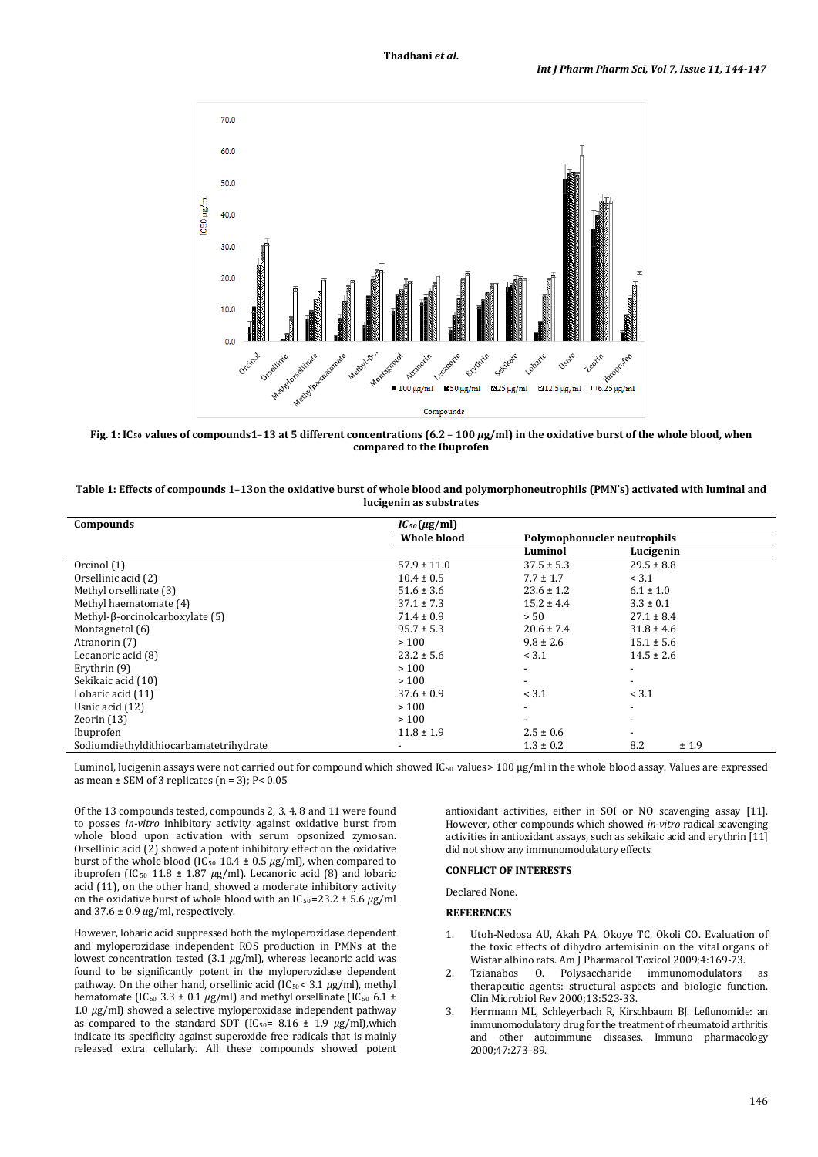

**Fig. 1: IC50 values of compounds1**–**13 at 5 different concentrations (6.2** – **100** *µ***g/ml) in the oxidative burst of the whole blood, when compared to the Ibuprofen**

| Table 1: Effects of compounds 1-13 on the oxidative burst of whole blood and polymorphoneutrophils (PMN's) activated with luminal and |
|---------------------------------------------------------------------------------------------------------------------------------------|
| lucigenin as substrates                                                                                                               |

| Compounds                               | $IC_{50}(\mu\text{g/ml})$ |                             |                          |
|-----------------------------------------|---------------------------|-----------------------------|--------------------------|
|                                         | <b>Whole blood</b>        | Polymophonucler neutrophils |                          |
|                                         |                           | Luminol                     | Lucigenin                |
| Orcinol (1)                             | $57.9 \pm 11.0$           | $37.5 \pm 5.3$              | $29.5 \pm 8.8$           |
| Orsellinic acid (2)                     | $10.4 \pm 0.5$            | $7.7 \pm 1.7$               | < 3.1                    |
| Methyl orsellinate (3)                  | $51.6 \pm 3.6$            | $23.6 \pm 1.2$              | $6.1 \pm 1.0$            |
| Methyl haematomate (4)                  | $37.1 \pm 7.3$            | $15.2 \pm 4.4$              | $3.3 \pm 0.1$            |
| Methyl- $\beta$ -orcinolcarboxylate (5) | $71.4 \pm 0.9$            | > 50                        | $27.1 \pm 8.4$           |
| Montagnetol (6)                         | $95.7 \pm 5.3$            | $20.6 \pm 7.4$              | $31.8 \pm 4.6$           |
| Atranorin (7)                           | >100                      | $9.8 \pm 2.6$               | $15.1 \pm 5.6$           |
| Lecanoric acid (8)                      | $23.2 \pm 5.6$            | < 3.1                       | $14.5 \pm 2.6$           |
| Erythrin (9)                            | >100                      | $\overline{\phantom{a}}$    | $\overline{\phantom{a}}$ |
| Sekikaic acid (10)                      | >100                      | $\overline{\phantom{a}}$    | ۰                        |
| Lobaric acid (11)                       | $37.6 \pm 0.9$            | < 3.1                       | < 3.1                    |
| Usnic acid (12)                         | >100                      | $\overline{\phantom{a}}$    | $\overline{\phantom{a}}$ |
| Zeorin $(13)$                           | >100                      | $\overline{\phantom{a}}$    | $\overline{\phantom{a}}$ |
| Ibuprofen                               | $11.8 \pm 1.9$            | $2.5 \pm 0.6$               | $\overline{\phantom{a}}$ |
| Sodiumdiethyldithiocarbamatetrihydrate  |                           | $1.3 \pm 0.2$               | 8.2<br>±1.9              |

Luminol, lucigenin assays were not carried out for compound which showed IC<sub>50</sub> values> 100 μg/ml in the whole blood assay. Values are expressed as mean  $\pm$  SEM of 3 replicates (n = 3); P< 0.05

Of the 13 compounds tested, compounds 2, 3, 4, 8 and 11 were found to posses *in-vitro* inhibitory activity against oxidative burst from whole blood upon activation with serum opsonized zymosan. Orsellinic acid  $(2)$  showed a potent inhibitory effect on the oxidative burst of the whole blood (IC<sub>50</sub> 10.4 ± 0.5  $\mu$ g/ml), when compared to ibuprofen (IC<sub>50</sub> 11.8 ± 1.87 μg/ml). Lecanoric acid (8) and lobaric acid (11), on the other hand, showed a moderate inhibitory activity on the oxidative burst of whole blood with an  $IC_{50} = 23.2 \pm 5.6 \ \mu g/ml$ and  $37.6 \pm 0.9 \,\mu g/ml$ , respectively.

However, lobaric acid suppressed both the myloperozidase dependent and myloperozidase independent ROS production in PMNs at the lowest concentration tested (3.1 *µ*g/ml), whereas lecanoric acid was found to be significantly potent in the myloperozidase dependent pathway. On the other hand, orsellinic acid (IC 50< 3.1 *µ*g/ml), methyl hematomate (IC<sub>50</sub> 3.3  $\pm$  0.1  $\mu$ g/ml) and methyl orsellinate (IC<sub>50</sub> 6.1  $\pm$ 1.0 *µ*g/ml) showed a selective myloperoxidase independent pathway as compared to the standard SDT (IC50 = 8.16 ± 1.9 *µ*g/ml),which indicate its specificity against superoxide free radicals that is mainly released extra cellularly. All these compounds showed potent

antioxidant activities, either in SOI or NO scavenging assay [11]. However, other compounds which showed *in-vitro* radical scavenging activities in antioxidant assays, such as sekikaic acid and erythrin [11] did not show any immunomodulatory effects.

## **CONFLICT OF INTERESTS**

Declared None.

## **REFERENCES**

- 1. Utoh-Nedosa AU, Akah PA, Okoye TC, Okoli CO. Evaluation of the toxic effects of dihydro artemisinin on the vital organs of Wistar albino rats. Am J Pharmacol Toxicol 2009;4:169-73.<br>Tzianabos 0. Polysaccharide immunomodulators
- 2. [Tzianabos](http://www.ncbi.nlm.nih.gov/pubmed/?term=Tzianabos%20AO%5Bauth%5D) O. Polysaccharide immunomodulators as therapeutic agents: structural aspects and biologic function. Clin Microbiol Rev 2000;13:523-33.
- 3. Herrmann ML, Schleyerbach R, Kirschbaum BJ. Leflunomide: an immunomodulatory drug for the treatment of rheumatoid arthritis and other autoimmune diseases. Immuno pharmacology 2000;47:273–89.